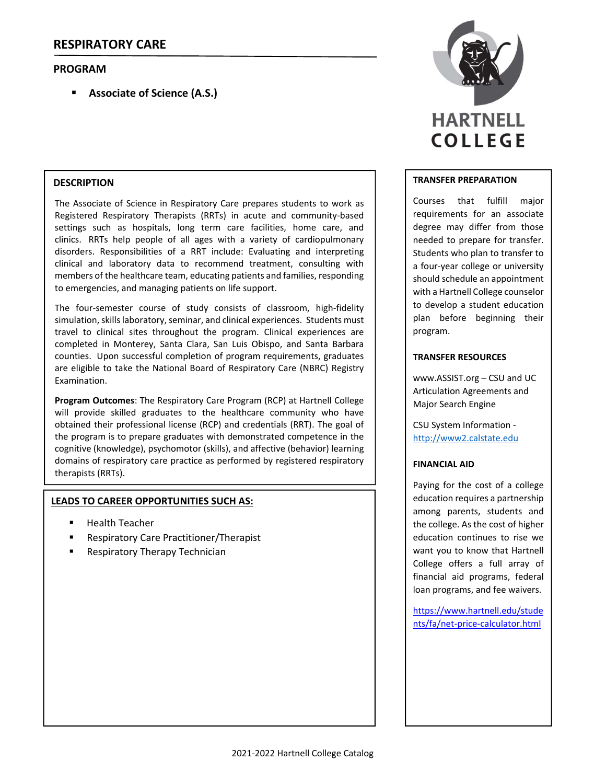## **PROGRAM**

**Associate of Science (A.S.)**

### **DESCRIPTION**

The Associate of Science in Respiratory Care prepares students to work as Registered Respiratory Therapists (RRTs) in acute and community‐based settings such as hospitals, long term care facilities, home care, and clinics. RRTs help people of all ages with a variety of cardiopulmonary disorders. Responsibilities of a RRT include: Evaluating and interpreting clinical and laboratory data to recommend treatment, consulting with members of the healthcare team, educating patients and families, responding to emergencies, and managing patients on life support.

The four-semester course of study consists of classroom, high-fidelity simulation, skills laboratory, seminar, and clinical experiences. Students must travel to clinical sites throughout the program. Clinical experiences are completed in Monterey, Santa Clara, San Luis Obispo, and Santa Barbara counties. Upon successful completion of program requirements, graduates are eligible to take the National Board of Respiratory Care (NBRC) Registry Examination.

**Program Outcomes**: The Respiratory Care Program (RCP) at Hartnell College will provide skilled graduates to the healthcare community who have obtained their professional license (RCP) and credentials (RRT). The goal of the program is to prepare graduates with demonstrated competence in the cognitive (knowledge), psychomotor (skills), and affective (behavior) learning domains of respiratory care practice as performed by registered respiratory therapists (RRTs).

#### **LEADS TO CAREER OPPORTUNITIES SUCH AS:**

- Health Teacher
- **Respiratory Care Practitioner/Therapist**
- Respiratory Therapy Technician



#### **TRANSFER PREPARATION**

Courses that fulfill major requirements for an associate degree may differ from those needed to prepare for transfer. Students who plan to transfer to a four‐year college or university should schedule an appointment with a Hartnell College counselor to develop a student education plan before beginning their program.

#### **TRANSFER RESOURCES**

www.ASSIST.org – CSU and UC Articulation Agreements and Major Search Engine

CSU System Information ‐ http://www2.calstate.edu

#### **FINANCIAL AID**

Paying for the cost of a college education requires a partnership among parents, students and the college. As the cost of higher education continues to rise we want you to know that Hartnell College offers a full array of financial aid programs, federal loan programs, and fee waivers.

https://www.hartnell.edu/stude nts/fa/net‐price‐calculator.html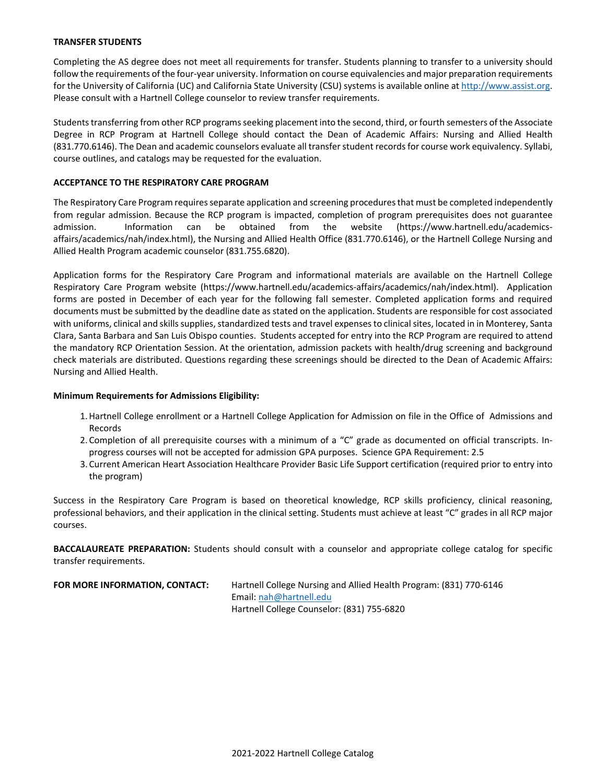#### **TRANSFER STUDENTS**

Completing the AS degree does not meet all requirements for transfer. Students planning to transfer to a university should follow the requirements of the four‐year university. Information on course equivalencies and major preparation requirements for the University of California (UC) and California State University (CSU) systems is available online at http://www.assist.org. Please consult with a Hartnell College counselor to review transfer requirements.

Students transferring from other RCP programs seeking placement into the second, third, or fourth semesters of the Associate Degree in RCP Program at Hartnell College should contact the Dean of Academic Affairs: Nursing and Allied Health (831.770.6146). The Dean and academic counselors evaluate all transferstudent recordsfor course work equivalency. Syllabi, course outlines, and catalogs may be requested for the evaluation.

#### **ACCEPTANCE TO THE RESPIRATORY CARE PROGRAM**

The Respiratory Care Program requires separate application and screening procedures that must be completed independently from regular admission. Because the RCP program is impacted, completion of program prerequisites does not guarantee admission. Information can be obtained from the website (https://www.hartnell.edu/academicsaffairs/academics/nah/index.html), the Nursing and Allied Health Office (831.770.6146), or the Hartnell College Nursing and Allied Health Program academic counselor (831.755.6820).

Application forms for the Respiratory Care Program and informational materials are available on the Hartnell College Respiratory Care Program website (https://www.hartnell.edu/academics-affairs/academics/nah/index.html). Application forms are posted in December of each year for the following fall semester. Completed application forms and required documents must be submitted by the deadline date as stated on the application. Students are responsible for cost associated with uniforms, clinical and skills supplies, standardized tests and travel expenses to clinical sites, located in in Monterey, Santa Clara, Santa Barbara and San Luis Obispo counties. Students accepted for entry into the RCP Program are required to attend the mandatory RCP Orientation Session. At the orientation, admission packets with health/drug screening and background check materials are distributed. Questions regarding these screenings should be directed to the Dean of Academic Affairs: Nursing and Allied Health.

#### **Minimum Requirements for Admissions Eligibility:**

- 1.Hartnell College enrollment or a Hartnell College Application for Admission on file in the Office of Admissions and Records
- 2. Completion of all prerequisite courses with a minimum of a "C" grade as documented on official transcripts. In‐ progress courses will not be accepted for admission GPA purposes. Science GPA Requirement: 2.5
- 3. Current American Heart Association Healthcare Provider Basic Life Support certification (required prior to entry into the program)

Success in the Respiratory Care Program is based on theoretical knowledge, RCP skills proficiency, clinical reasoning, professional behaviors, and their application in the clinical setting. Students must achieve at least "C" grades in all RCP major courses.

**BACCALAUREATE PREPARATION:** Students should consult with a counselor and appropriate college catalog for specific transfer requirements.

| FOR MORE INFORMATION, CONTACT: | Hartnell College Nursing and Allied Health Program: (831) 770-6146 |
|--------------------------------|--------------------------------------------------------------------|
|                                | Email: $nah@hartnell.edu$                                          |
|                                | Hartnell College Counselor: (831) 755-6820                         |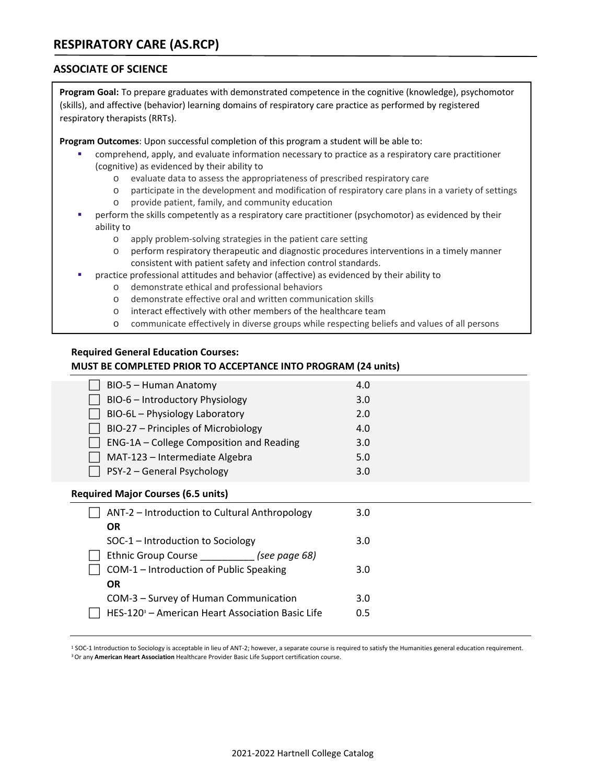## **ASSOCIATE OF SCIENCE**

**Program Goal:** To prepare graduates with demonstrated competence in the cognitive (knowledge), psychomotor (skills), and affective (behavior) learning domains of respiratory care practice as performed by registered respiratory therapists (RRTs).

**Program Outcomes**: Upon successful completion of this program a student will be able to:

- comprehend, apply, and evaluate information necessary to practice as a respiratory care practitioner (cognitive) as evidenced by their ability to
	- o evaluate data to assess the appropriateness of prescribed respiratory care
	- o participate in the development and modification of respiratory care plans in a variety of settings
	- o provide patient, family, and community education
- perform the skills competently as a respiratory care practitioner (psychomotor) as evidenced by their ability to
	- o apply problem‐solving strategies in the patient care setting
	- o perform respiratory therapeutic and diagnostic procedures interventions in a timely manner consistent with patient safety and infection control standards.
	- practice professional attitudes and behavior (affective) as evidenced by their ability to
		- o demonstrate ethical and professional behaviors
		- o demonstrate effective oral and written communication skills
		- o interact effectively with other members of the healthcare team
		- o communicate effectively in diverse groups while respecting beliefs and values of all persons

## **Required General Education Courses:**

#### **MUST BE COMPLETED PRIOR TO ACCEPTANCE INTO PROGRAM (24 units)**

| BIO-5 - Human Anatomy                    | 4.0 |
|------------------------------------------|-----|
| BIO-6 - Introductory Physiology          | 3.0 |
| BIO-6L - Physiology Laboratory           | 2.0 |
| BIO-27 - Principles of Microbiology      | 4.0 |
| ENG-1A - College Composition and Reading | 3.0 |
| MAT-123 - Intermediate Algebra           | 5.0 |
| PSY-2 - General Psychology               | 3.0 |
|                                          |     |

#### **Required Major Courses (6.5 units)**

| ANT-2 - Introduction to Cultural Anthropology                | 3.0 |
|--------------------------------------------------------------|-----|
| <b>OR</b>                                                    |     |
| SOC-1 – Introduction to Sociology                            | 3.0 |
| Ethnic Group Course (see page 68)                            |     |
| COM-1 - Introduction of Public Speaking                      | 3.0 |
| <b>OR</b>                                                    |     |
| COM-3 – Survey of Human Communication                        | 3.0 |
| HES-120 <sup>3</sup> - American Heart Association Basic Life | 0.5 |
|                                                              |     |

<sup>1</sup> SOC‐1 Introduction to Sociology is acceptable in lieu of ANT‐2; however, a separate course is required to satisfy the Humanities general education requirement. 3Or any **American Heart Association** Healthcare Provider Basic Life Support certification course.